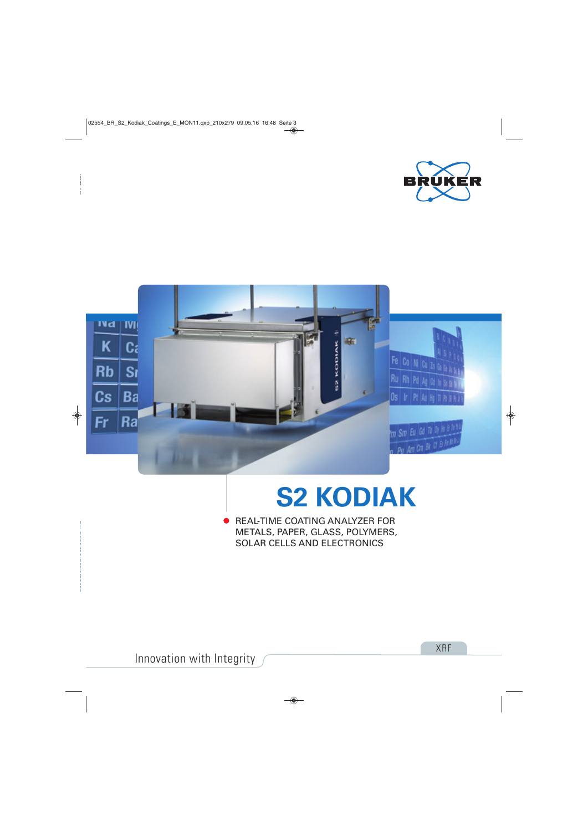



# **S2 KODIAK**

REAL-TIME COATING ANALYZER FOR METALS, PAPER, GLASS, POLYMERS, SOLAR CELLS AND ELECTRONICS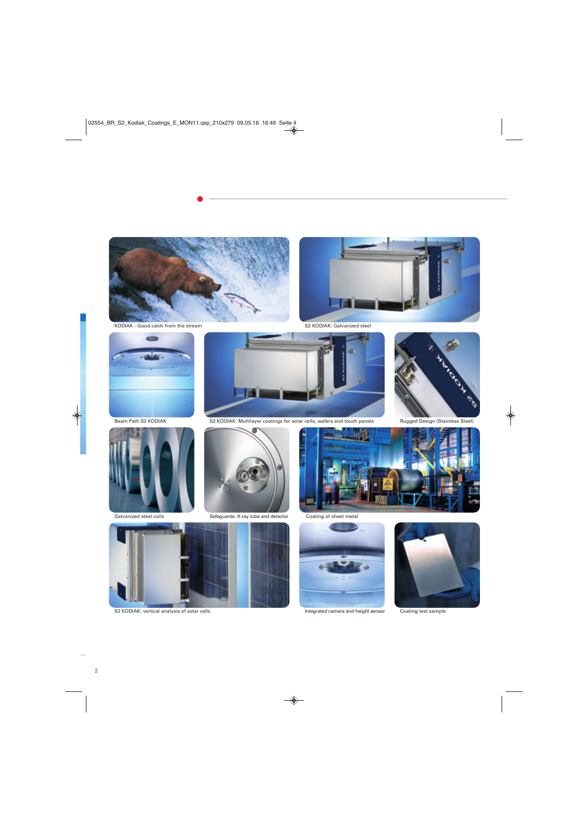

KODIAK - Good catch from the stream



S2 KODIAK: Galvanized steel



Beam Path S2 KODIAK



Galvanized steel coils



S2 KODIAK: Multilayer coatings for solar cells, wafers and touch panels



Safeguards: X-ray tube and detector



S2 KODIAK: vertical analysis of solar cells



Coating of sheet metal



Integrated camera and height sensor



rock of

Coating test sample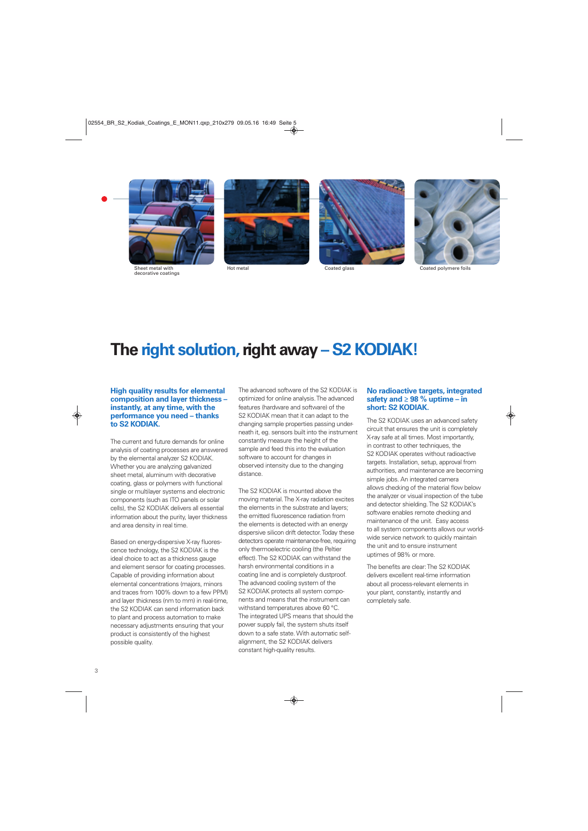

Sheet metal with decorative coatings







Hot metal Coated glass Coated polymere foils

### **The right solution, right away – S2 KODIAK!**

#### **High quality results for elemental composition and layer thickness – instantly, at any time, with the performance you need – thanks to S2 KODIAK.**

The current and future demands for online analysis of coating processes are answered by the elemental analyzer S2 KODIAK. Whether you are analyzing galvanized sheet metal, aluminum with decorative coating, glass or polymers with functional single or multilayer systems and electronic components (such as ITO panels or solar cells), the S2 KODIAK delivers all essential information about the purity, layer thickness and area density in real time.

Based on energy-dispersive X-ray fluorescence technology, the S2 KODIAK is the ideal choice to act as a thickness gauge and element sensor for coating processes. Capable of providing information about elemental concentrations (majors, minors and traces from 100% down to a few PPM) and layer thickness (nm to mm) in real-time, the S2 KODIAK can send information back to plant and process automation to make necessary adjustments ensuring that your product is consistently of the highest possible quality.

The advanced software of the S2 KODIAK is optimized for online analysis. The advanced features (hardware and software) of the S2 KODIAK mean that it can adapt to the changing sample properties passing underneath it, eg. sensors built into the instrument constantly measure the height of the sample and feed this into the evaluation software to account for changes in observed intensity due to the changing distance.

The S2 KODIAK is mounted above the moving material. The X-ray radiation excites the elements in the substrate and layers; the emitted fluorescence radiation from the elements is detected with an energy dispersive silicon drift detector. Today these detectors operate maintenance-free, requiring only thermoelectric cooling (the Peltier effect). The S2 KODIAK can withstand the harsh environmental conditions in a coating line and is completely dustproof. The advanced cooling system of the S2 KODIAK protects all system components and means that the instrument can withstand temperatures above 60 °C. The integrated UPS means that should the power supply fail, the system shuts itself down to a safe state. With automatic selfalignment, the S2 KODIAK delivers constant high-quality results.

### **No radioactive targets, integrated safety and ≥ 98 % uptime – in short: S2 KODIAK.**

The S2 KODIAK uses an advanced safety circuit that ensures the unit is completely X-ray safe at all times. Most importantly, in contrast to other techniques, the S2 KODIAK operates without radioactive targets. Installation, setup, approval from authorities, and maintenance are becoming simple jobs. An integrated camera allows checking of the material flow below the analyzer or visual inspection of the tube and detector shielding. The S2 KODIAK's software enables remote checking and maintenance of the unit. Easy access to all system components allows our worldwide service network to quickly maintain the unit and to ensure instrument uptimes of 98% or more.

The benefits are clear: The S2 KODIAK delivers excellent real-time information about all process-relevant elements in your plant, constantly, instantly and completely safe.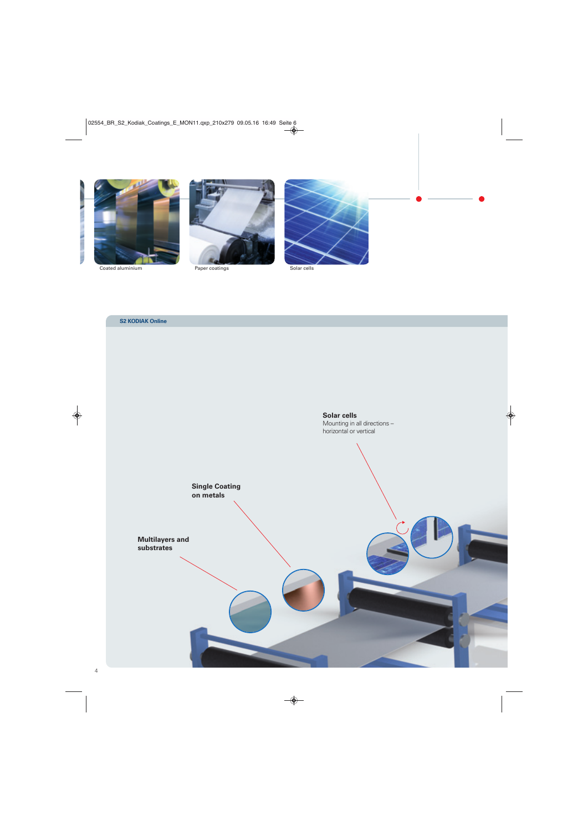



Coated aluminium Paper coatings Solar cells



### **S2 KODIAK Online**

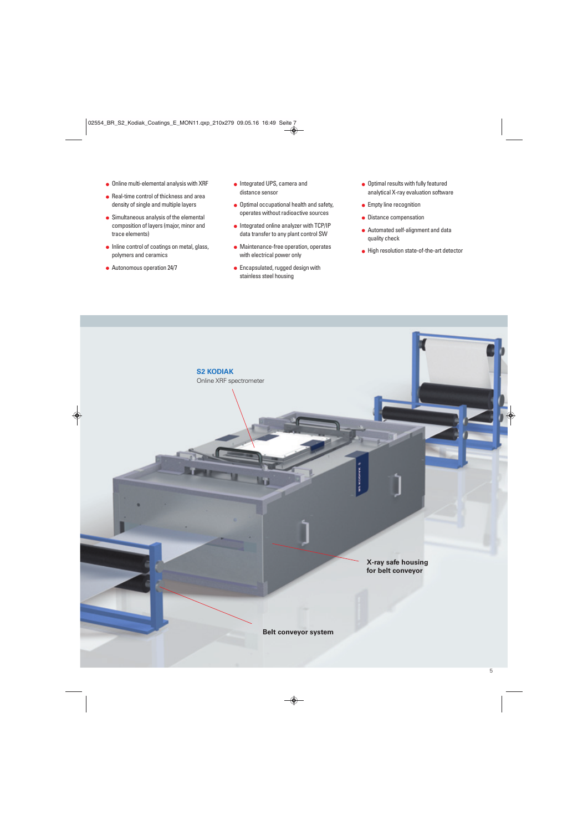- Online multi-elemental analysis with XRF
- Real-time control of thickness and area density of single and multiple layers
- Simultaneous analysis of the elemental composition of layers (major, minor and trace elements)
- Inline control of coatings on metal, glass, polymers and ceramics

**S2 KODIAK**

Online XRF spectrometer

● Autonomous operation 24/7

- **Integrated UPS, camera and** distance sensor
- $\bullet$  Optimal occupational health and safety, operates without radioactive sources
- Integrated online analyzer with TCP/IP data transfer to any plant control SW
- Maintenance-free operation, operates with electrical power only
- **•** Encapsulated, rugged design with stainless steel housing
- **.** Optimal results with fully featured analytical X-ray evaluation software
- **•** Empty line recognition
- **•** Distance compensation
- Automated self-alignment and data quality check
- $\bullet$  High resolution state-of-the-art detector



**Belt conveyor system**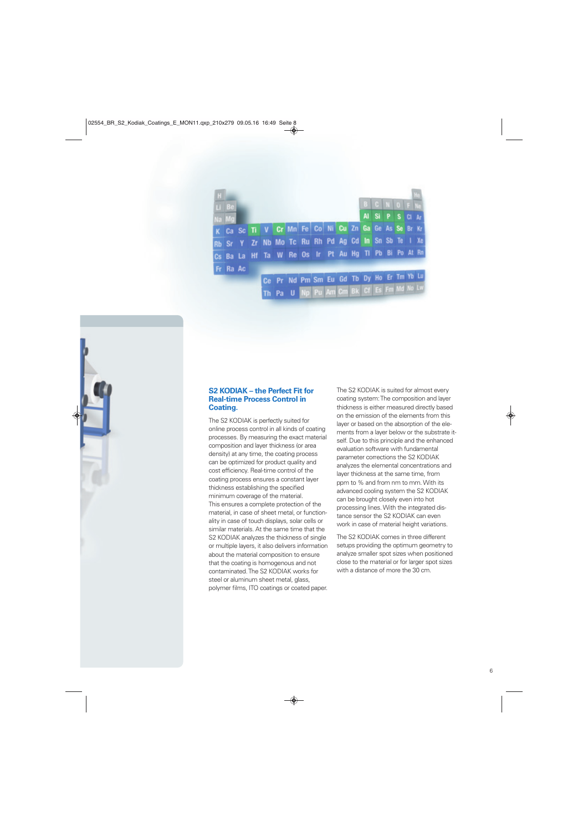| Li Be    |  |  |                                                      |  |  | B C N O F |  |       |  |
|----------|--|--|------------------------------------------------------|--|--|-----------|--|-------|--|
| Na Mg    |  |  |                                                      |  |  | Al Si P S |  | CI Ar |  |
|          |  |  | K Ca Sc Ti V Cr Mn Fe Co Ni Cu Zn Ga Ge As Se Br Kr  |  |  |           |  |       |  |
|          |  |  | Rb Sr Y Zr Nb Mo Tc Ru Rh Pd Ag Cd In Sn Sb Te I Xe  |  |  |           |  |       |  |
|          |  |  | Cs Ba La Hf Ta W Re Os Ir Pt Au Hg TI Pb Bi Po At Rn |  |  |           |  |       |  |
| Fr Ra Ac |  |  |                                                      |  |  |           |  |       |  |
|          |  |  | Ce Pr Nd Pm Sm Eu Gd Tb Dy Ho Er Tm Yb Lu            |  |  |           |  |       |  |
|          |  |  | Th Pa U Np Pu Am Cm Bk Cf Es Fm Md No Lw             |  |  |           |  |       |  |

### **S2 KODIAK – the Perfect Fit for Real-time Process Control in Coating.**

The S2 KODIAK is perfectly suited for online process control in all kinds of coating processes. By measuring the exact material composition and layer thickness (or area density) at any time, the coating process can be optimized for product quality and cost efficiency. Real-time control of the coating process ensures a constant layer thickness establishing the specified minimum coverage of the material. This ensures a complete protection of the material, in case of sheet metal, or functionality in case of touch displays, solar cells or similar materials. At the same time that the S2 KODIAK analyzes the thickness of single or multiple layers, it also delivers information about the material composition to ensure that the coating is homogenous and not contaminated. The S2 KODIAK works for steel or aluminum sheet metal, glass, polymer films, ITO coatings or coated paper. The S2 KODIAK is suited for almost every coating system: The composition and layer thickness is either measured directly based on the emission of the elements from this layer or based on the absorption of the elements from a layer below or the substrate itself. Due to this principle and the enhanced evaluation software with fundamental parameter corrections the S2 KODIAK analyzes the elemental concentrations and layer thickness at the same time, from ppm to % and from nm to mm. With its advanced cooling system the S2 KODIAK can be brought closely even into hot processing lines. With the integrated distance sensor the S2 KODIAK can even work in case of material height variations.

The S2 KODIAK comes in three different setups providing the optimum geometry to analyze smaller spot sizes when positioned close to the material or for larger spot sizes with a distance of more the 30 cm.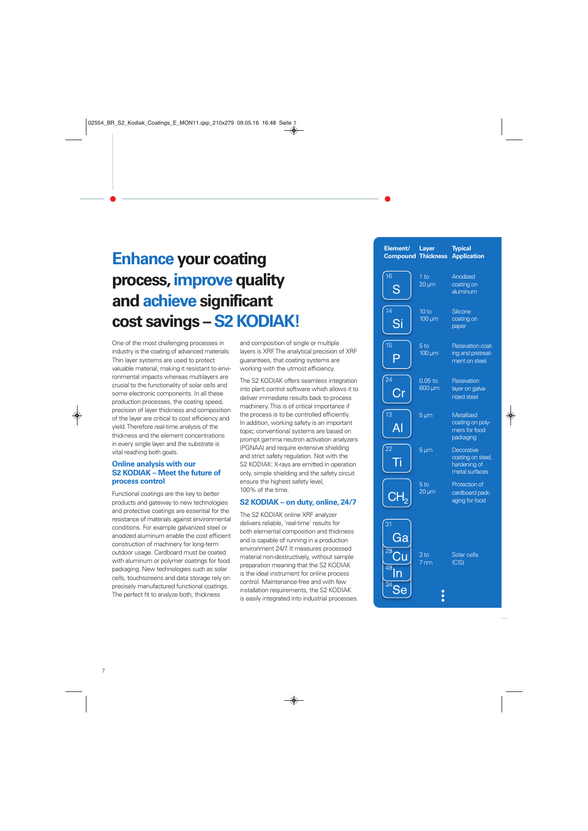## **Enhance your coating process, improve quality and achieve significant cost savings – S2 KODIAK!**

One of the most challenging processes in industry is the coating of advanced materials: Thin layer systems are used to protect valuable material, making it resistant to environmental impacts whereas multilayers are crucial to the functionality of solar cells and some electronic components. In all these production processes, the coating speed, precision of layer thickness and composition of the layer are critical to cost efficiency and yield. Therefore real-time analysis of the thickness and the element concentrations in every single layer and the substrate is vital reaching both goals.

### **Online analysis with our S2 KODIAK – Meet the future of process control**

Functional coatings are the key to better products and gateway to new technologies and protective coatings are essential for the resistance of materials against environmental conditions. For example galvanized steel or anodized aluminum enable the cost efficient construction of machinery for long-term outdoor usage. Cardboard must be coated with aluminum or polymer coatings for food packaging. New technologies such as solar cells, touchscreens and data storage rely on precisely manufactured functional coatings. The perfect fit to analyze both, thickness

and composition of single or multiple layers is XRF. The analytical precision of XRF guarantees, that coating systems are working with the utmost efficiency.

The S2 KODIAK offers seamless integration into plant control software which allows it to deliver immediate results back to process machinery. This is of critical importance if the process is to be controlled efficiently. In addition, working safety is an important topic; conventional systems are based on prompt gamma neutron activation analyzers (PGNAA) and require extensive shielding and strict safety regulation. Not with the S2 KODIAK: X-rays are emitted in operation only, simple shielding and the safety circuit ensure the highest safety level, 100% of the time.

### **S2 KODIAK – on duty, online, 24/7**

The S2 KODIAK online XRF analyzer delivers reliable, 'real-time' results for both elemental composition and thickness and is capable of running in a production environment 24/7. It measures processed material non-destructively, without sample preparation meaning that the S2 KODIAK is the ideal instrument for online process control. Maintenance-free and with few installation requirements, the S2 KODIAK is easily integrated into industrial processes.